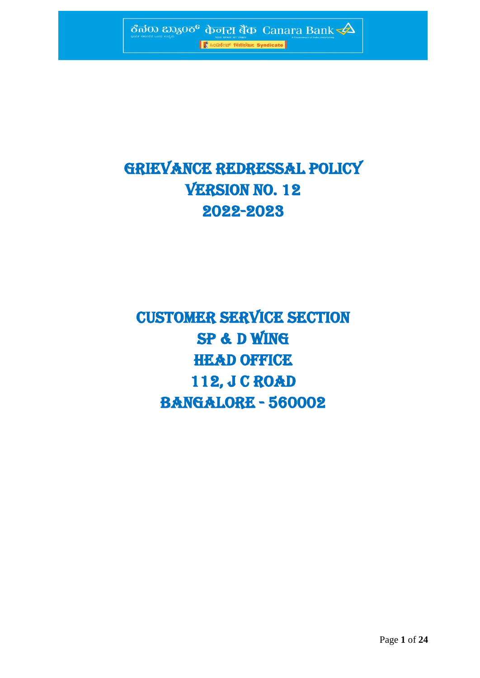

# GRIEVANCE REDRESSAL POLICY VERSION NO. 12 2022-2023

CUSTOMER SERVICE SECTION SP & D WING HEAD OFFICE 112, J C ROAD BANGALORE - 560002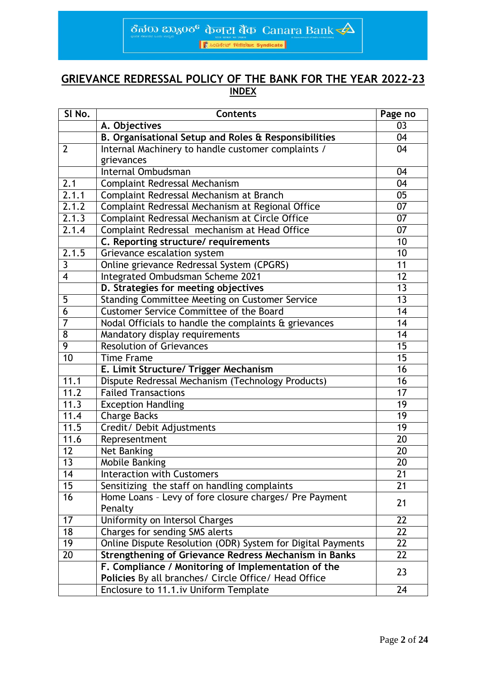$\frac{1}{2}$ ಕೆನರು ಬ್ಯಾಂಕ್ ಕಾಂಪ್ ಸರ್ಕಾರ್ Canara Bank $\frac{1}{2}$ 

# **GRIEVANCE REDRESSAL POLICY OF THE BANK FOR THE YEAR 2022-23 INDEX**

| SI No.                  | <b>Contents</b>                                                                                             | Page no         |
|-------------------------|-------------------------------------------------------------------------------------------------------------|-----------------|
|                         | A. Objectives                                                                                               | 03              |
|                         | B. Organisational Setup and Roles & Responsibilities                                                        | 04              |
| $\overline{2}$          | Internal Machinery to handle customer complaints /                                                          | 04              |
|                         | grievances                                                                                                  |                 |
|                         | Internal Ombudsman                                                                                          | 04              |
| 2.1                     | Complaint Redressal Mechanism                                                                               | 04              |
| 2.1.1                   | Complaint Redressal Mechanism at Branch                                                                     | 05              |
| 2.1.2                   | Complaint Redressal Mechanism at Regional Office                                                            | 07              |
| 2.1.3                   | Complaint Redressal Mechanism at Circle Office                                                              | $\overline{07}$ |
| 2.1.4                   | Complaint Redressal mechanism at Head Office                                                                | 07              |
|                         | C. Reporting structure/ requirements                                                                        | 10              |
| 2.1.5                   | Grievance escalation system                                                                                 | 10              |
| $\overline{\mathbf{3}}$ | Online grievance Redressal System (CPGRS)                                                                   | 11              |
| $\overline{4}$          | Integrated Ombudsman Scheme 2021                                                                            | 12              |
|                         | D. Strategies for meeting objectives                                                                        | 13              |
| 5                       | Standing Committee Meeting on Customer Service                                                              | 13              |
| $\overline{6}$          | <b>Customer Service Committee of the Board</b>                                                              | $\overline{14}$ |
| $\overline{7}$          | Nodal Officials to handle the complaints & grievances                                                       | 14              |
| 8                       | Mandatory display requirements                                                                              | 14              |
| 9                       | <b>Resolution of Grievances</b>                                                                             | 15              |
| $\overline{10}$         | <b>Time Frame</b>                                                                                           | $\overline{15}$ |
|                         | E. Limit Structure/ Trigger Mechanism                                                                       | 16              |
| 11.1                    | Dispute Redressal Mechanism (Technology Products)                                                           | 16              |
| 11.2                    | <b>Failed Transactions</b>                                                                                  | 17              |
| 11.3                    | <b>Exception Handling</b>                                                                                   | $\overline{19}$ |
| 11.4                    | <b>Charge Backs</b>                                                                                         | 19              |
| 11.5                    | Credit/ Debit Adjustments                                                                                   | 19              |
| 11.6                    | Representment                                                                                               | $\overline{20}$ |
| 12                      | Net Banking                                                                                                 | 20              |
| $\overline{13}$         | <b>Mobile Banking</b>                                                                                       | 20              |
| 14                      | <b>Interaction with Customers</b>                                                                           | 21              |
| 15                      | Sensitizing the staff on handling complaints                                                                | 21              |
| 16                      | Home Loans - Levy of fore closure charges/ Pre Payment                                                      | 21              |
|                         | Penalty                                                                                                     |                 |
| 17                      | Uniformity on Intersol Charges                                                                              | 22              |
| 18                      | Charges for sending SMS alerts                                                                              | 22              |
| 19                      | Online Dispute Resolution (ODR) System for Digital Payments                                                 | 22              |
| 20                      | Strengthening of Grievance Redress Mechanism in Banks                                                       | 22              |
|                         | F. Compliance / Monitoring of Implementation of the<br>Policies By all branches/ Circle Office/ Head Office | 23              |
|                         | Enclosure to 11.1. iv Uniform Template                                                                      | 24              |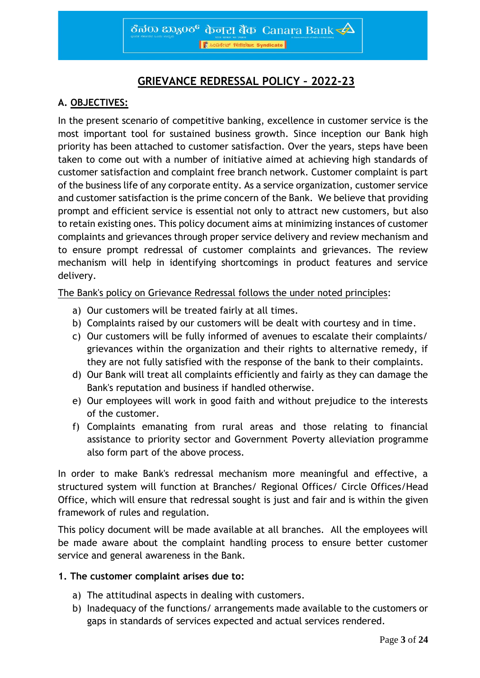# **GRIEVANCE REDRESSAL POLICY – 2022-23**

# **A. OBJECTIVES:**

In the present scenario of competitive banking, excellence in customer service is the most important tool for sustained business growth. Since inception our Bank high priority has been attached to customer satisfaction. Over the years, steps have been taken to come out with a number of initiative aimed at achieving high standards of customer satisfaction and complaint free branch network. Customer complaint is part of the business life of any corporate entity. As a service organization, customer service and customer satisfaction is the prime concern of the Bank. We believe that providing prompt and efficient service is essential not only to attract new customers, but also to retain existing ones. This policy document aims at minimizing instances of customer complaints and grievances through proper service delivery and review mechanism and to ensure prompt redressal of customer complaints and grievances. The review mechanism will help in identifying shortcomings in product features and service delivery.

The Bank's policy on Grievance Redressal follows the under noted principles:

- a) Our customers will be treated fairly at all times.
- b) Complaints raised by our customers will be dealt with courtesy and in time.
- c) Our customers will be fully informed of avenues to escalate their complaints/ grievances within the organization and their rights to alternative remedy, if they are not fully satisfied with the response of the bank to their complaints.
- d) Our Bank will treat all complaints efficiently and fairly as they can damage the Bank's reputation and business if handled otherwise.
- e) Our employees will work in good faith and without prejudice to the interests of the customer.
- f) Complaints emanating from rural areas and those relating to financial assistance to priority sector and Government Poverty alleviation programme also form part of the above process.

In order to make Bank's redressal mechanism more meaningful and effective, a structured system will function at Branches/ Regional Offices/ Circle Offices/Head Office, which will ensure that redressal sought is just and fair and is within the given framework of rules and regulation.

This policy document will be made available at all branches. All the employees will be made aware about the complaint handling process to ensure better customer service and general awareness in the Bank.

#### **1. The customer complaint arises due to:**

- a) The attitudinal aspects in dealing with customers.
- b) Inadequacy of the functions/ arrangements made available to the customers or gaps in standards of services expected and actual services rendered.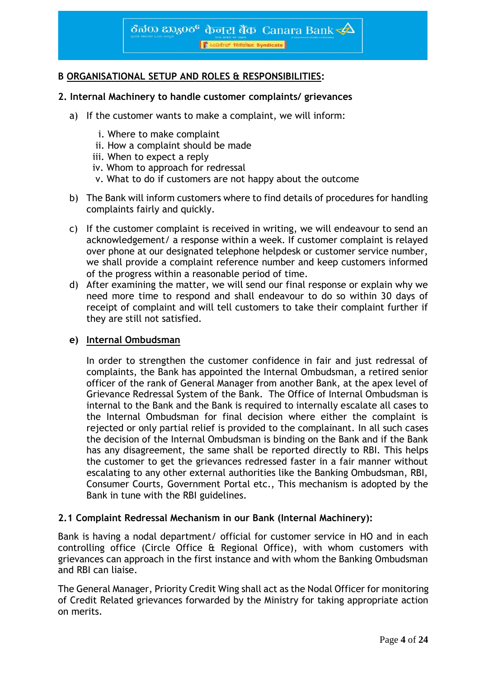।<br>||हैं ೩೦ಡಿಕೇಟ್ सिडिकेट Syndicate ||

## **B ORGANISATIONAL SETUP AND ROLES & RESPONSIBILITIES:**

#### **2. Internal Machinery to handle customer complaints/ grievances**

- a) If the customer wants to make a complaint, we will inform:
	- i. Where to make complaint
	- ii. How a complaint should be made
	- iii. When to expect a reply
	- iv. Whom to approach for redressal
	- v. What to do if customers are not happy about the outcome
- b) The Bank will inform customers where to find details of procedures for handling complaints fairly and quickly.
- c) If the customer complaint is received in writing, we will endeavour to send an acknowledgement/ a response within a week. If customer complaint is relayed over phone at our designated telephone helpdesk or customer service number, we shall provide a complaint reference number and keep customers informed of the progress within a reasonable period of time.
- d) After examining the matter, we will send our final response or explain why we need more time to respond and shall endeavour to do so within 30 days of receipt of complaint and will tell customers to take their complaint further if they are still not satisfied.

#### **e) Internal Ombudsman**

In order to strengthen the customer confidence in fair and just redressal of complaints, the Bank has appointed the Internal Ombudsman, a retired senior officer of the rank of General Manager from another Bank, at the apex level of Grievance Redressal System of the Bank. The Office of Internal Ombudsman is internal to the Bank and the Bank is required to internally escalate all cases to the Internal Ombudsman for final decision where either the complaint is rejected or only partial relief is provided to the complainant. In all such cases the decision of the Internal Ombudsman is binding on the Bank and if the Bank has any disagreement, the same shall be reported directly to RBI. This helps the customer to get the grievances redressed faster in a fair manner without escalating to any other external authorities like the Banking Ombudsman, RBI, Consumer Courts, Government Portal etc., This mechanism is adopted by the Bank in tune with the RBI guidelines.

#### **2.1 Complaint Redressal Mechanism in our Bank (Internal Machinery):**

Bank is having a nodal department/ official for customer service in HO and in each controlling office (Circle Office & Regional Office), with whom customers with grievances can approach in the first instance and with whom the Banking Ombudsman and RBI can liaise.

The General Manager, Priority Credit Wing shall act as the Nodal Officer for monitoring of Credit Related grievances forwarded by the Ministry for taking appropriate action on merits.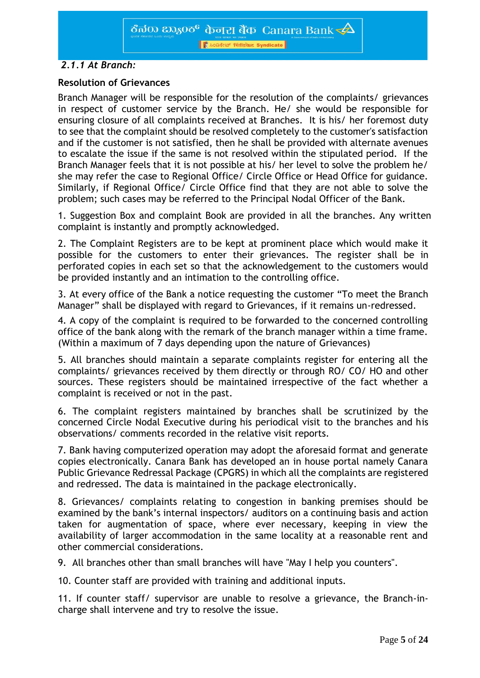Access Trend Syndicate

# *2.1.1 At Branch:*

## **Resolution of Grievances**

Branch Manager will be responsible for the resolution of the complaints/ grievances in respect of customer service by the Branch. He/ she would be responsible for ensuring closure of all complaints received at Branches. It is his/ her foremost duty to see that the complaint should be resolved completely to the customer's satisfaction and if the customer is not satisfied, then he shall be provided with alternate avenues to escalate the issue if the same is not resolved within the stipulated period. If the Branch Manager feels that it is not possible at his/ her level to solve the problem he/ she may refer the case to Regional Office/ Circle Office or Head Office for guidance. Similarly, if Regional Office/ Circle Office find that they are not able to solve the problem; such cases may be referred to the Principal Nodal Officer of the Bank.

1. Suggestion Box and complaint Book are provided in all the branches. Any written complaint is instantly and promptly acknowledged.

2. The Complaint Registers are to be kept at prominent place which would make it possible for the customers to enter their grievances. The register shall be in perforated copies in each set so that the acknowledgement to the customers would be provided instantly and an intimation to the controlling office.

3. At every office of the Bank a notice requesting the customer "To meet the Branch Manager" shall be displayed with regard to Grievances, if it remains un-redressed.

4. A copy of the complaint is required to be forwarded to the concerned controlling office of the bank along with the remark of the branch manager within a time frame. (Within a maximum of 7 days depending upon the nature of Grievances)

5. All branches should maintain a separate complaints register for entering all the complaints/ grievances received by them directly or through RO/ CO/ HO and other sources. These registers should be maintained irrespective of the fact whether a complaint is received or not in the past.

6. The complaint registers maintained by branches shall be scrutinized by the concerned Circle Nodal Executive during his periodical visit to the branches and his observations/ comments recorded in the relative visit reports.

7. Bank having computerized operation may adopt the aforesaid format and generate copies electronically. Canara Bank has developed an in house portal namely Canara Public Grievance Redressal Package (CPGRS) in which all the complaints are registered and redressed. The data is maintained in the package electronically.

8. Grievances/ complaints relating to congestion in banking premises should be examined by the bank's internal inspectors/ auditors on a continuing basis and action taken for augmentation of space, where ever necessary, keeping in view the availability of larger accommodation in the same locality at a reasonable rent and other commercial considerations.

9. All branches other than small branches will have "May I help you counters".

10. Counter staff are provided with training and additional inputs.

11. If counter staff/ supervisor are unable to resolve a grievance, the Branch-incharge shall intervene and try to resolve the issue.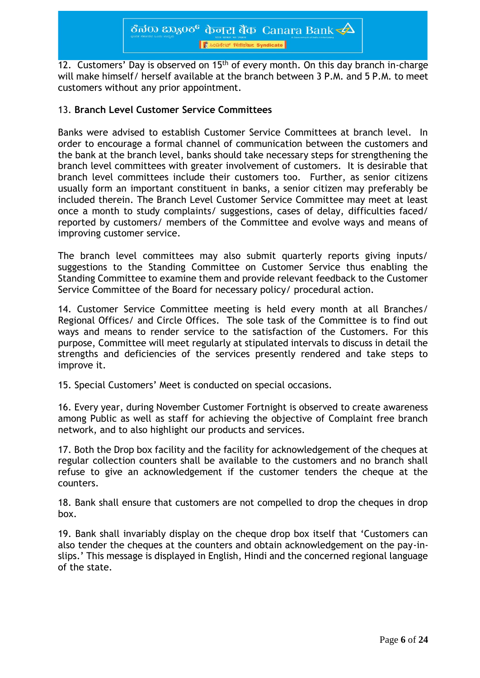12. Customers' Day is observed on 15<sup>th</sup> of every month. On this day branch in-charge will make himself/ herself available at the branch between 3 P.M. and 5 P.M. to meet customers without any prior appointment.

### 13. **Branch Level Customer Service Committees**

Banks were advised to establish Customer Service Committees at branch level. In order to encourage a formal channel of communication between the customers and the bank at the branch level, banks should take necessary steps for strengthening the branch level committees with greater involvement of customers. It is desirable that branch level committees include their customers too. Further, as senior citizens usually form an important constituent in banks, a senior citizen may preferably be included therein. The Branch Level Customer Service Committee may meet at least once a month to study complaints/ suggestions, cases of delay, difficulties faced/ reported by customers/ members of the Committee and evolve ways and means of improving customer service.

The branch level committees may also submit quarterly reports giving inputs/ suggestions to the Standing Committee on Customer Service thus enabling the Standing Committee to examine them and provide relevant feedback to the Customer Service Committee of the Board for necessary policy/ procedural action.

14. Customer Service Committee meeting is held every month at all Branches/ Regional Offices/ and Circle Offices. The sole task of the Committee is to find out ways and means to render service to the satisfaction of the Customers. For this purpose, Committee will meet regularly at stipulated intervals to discuss in detail the strengths and deficiencies of the services presently rendered and take steps to improve it.

15. Special Customers' Meet is conducted on special occasions.

16. Every year, during November Customer Fortnight is observed to create awareness among Public as well as staff for achieving the objective of Complaint free branch network, and to also highlight our products and services.

17. Both the Drop box facility and the facility for acknowledgement of the cheques at regular collection counters shall be available to the customers and no branch shall refuse to give an acknowledgement if the customer tenders the cheque at the counters.

18. Bank shall ensure that customers are not compelled to drop the cheques in drop box.

19. Bank shall invariably display on the cheque drop box itself that 'Customers can also tender the cheques at the counters and obtain acknowledgement on the pay-inslips.' This message is displayed in English, Hindi and the concerned regional language of the state.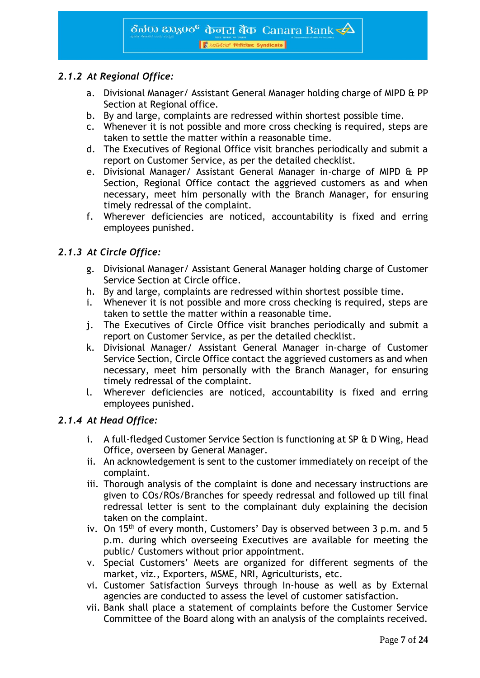# *2.1.2 At Regional Office:*

- a. Divisional Manager/ Assistant General Manager holding charge of MIPD & PP Section at Regional office.
- b. By and large, complaints are redressed within shortest possible time.
- c. Whenever it is not possible and more cross checking is required, steps are taken to settle the matter within a reasonable time.
- d. The Executives of Regional Office visit branches periodically and submit a report on Customer Service, as per the detailed checklist.
- e. Divisional Manager/ Assistant General Manager in-charge of MIPD & PP Section, Regional Office contact the aggrieved customers as and when necessary, meet him personally with the Branch Manager, for ensuring timely redressal of the complaint.
- f. Wherever deficiencies are noticed, accountability is fixed and erring employees punished.

# *2.1.3 At Circle Office:*

- g. Divisional Manager/ Assistant General Manager holding charge of Customer Service Section at Circle office.
- h. By and large, complaints are redressed within shortest possible time.
- i. Whenever it is not possible and more cross checking is required, steps are taken to settle the matter within a reasonable time.
- j. The Executives of Circle Office visit branches periodically and submit a report on Customer Service, as per the detailed checklist.
- k. Divisional Manager/ Assistant General Manager in-charge of Customer Service Section, Circle Office contact the aggrieved customers as and when necessary, meet him personally with the Branch Manager, for ensuring timely redressal of the complaint.
- l. Wherever deficiencies are noticed, accountability is fixed and erring employees punished.

#### *2.1.4 At Head Office:*

- i. A full-fledged Customer Service Section is functioning at SP & D Wing, Head Office, overseen by General Manager.
- ii. An acknowledgement is sent to the customer immediately on receipt of the complaint.
- iii. Thorough analysis of the complaint is done and necessary instructions are given to COs/ROs/Branches for speedy redressal and followed up till final redressal letter is sent to the complainant duly explaining the decision taken on the complaint.
- iv. On 15<sup>th</sup> of every month, Customers' Day is observed between 3 p.m. and 5 p.m. during which overseeing Executives are available for meeting the public/ Customers without prior appointment.
- v. Special Customers' Meets are organized for different segments of the market, viz., Exporters, MSME, NRI, Agriculturists, etc.
- vi. Customer Satisfaction Surveys through In-house as well as by External agencies are conducted to assess the level of customer satisfaction.
- vii. Bank shall place a statement of complaints before the Customer Service Committee of the Board along with an analysis of the complaints received.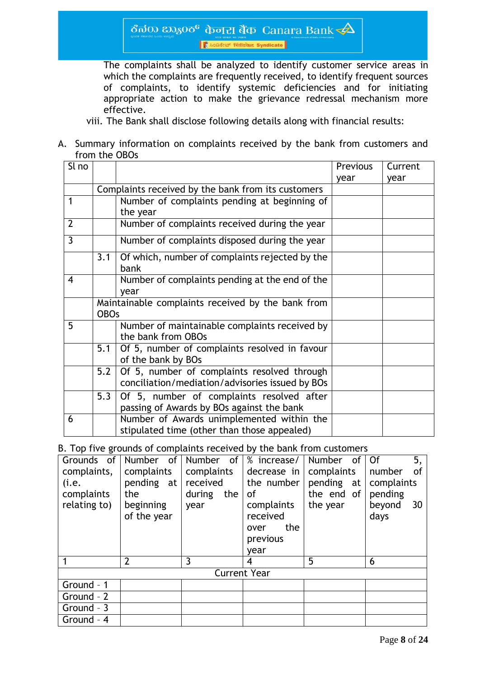The complaints shall be analyzed to identify customer service areas in which the complaints are frequently received, to identify frequent sources of complaints, to identify systemic deficiencies and for initiating appropriate action to make the grievance redressal mechanism more effective.

viii. The Bank shall disclose following details along with financial results:

#### A. Summary information on complaints received by the bank from customers and from the OBOs

| Sl no                    |             |                                                                     | <b>Previous</b> | Current |  |
|--------------------------|-------------|---------------------------------------------------------------------|-----------------|---------|--|
|                          |             |                                                                     | year            | year    |  |
|                          |             | Complaints received by the bank from its customers                  |                 |         |  |
| 1                        |             | Number of complaints pending at beginning of                        |                 |         |  |
|                          |             | the year                                                            |                 |         |  |
| $\overline{2}$           |             | Number of complaints received during the year                       |                 |         |  |
| 3                        |             | Number of complaints disposed during the year                       |                 |         |  |
|                          | 3.1         | Of which, number of complaints rejected by the<br>bank              |                 |         |  |
| $\overline{\mathcal{A}}$ |             | Number of complaints pending at the end of the                      |                 |         |  |
|                          |             | year                                                                |                 |         |  |
|                          |             | Maintainable complaints received by the bank from                   |                 |         |  |
|                          | <b>OBOs</b> |                                                                     |                 |         |  |
| 5                        |             | Number of maintainable complaints received by<br>the bank from OBOs |                 |         |  |
|                          | 5.1         | Of 5, number of complaints resolved in favour<br>of the bank by BOs |                 |         |  |
|                          | 5.2         | Of 5, number of complaints resolved through                         |                 |         |  |
|                          |             | conciliation/mediation/advisories issued by BOs                     |                 |         |  |
|                          | 5.3         | Of 5, number of complaints resolved after                           |                 |         |  |
|                          |             | passing of Awards by BOs against the bank                           |                 |         |  |
| 6                        |             | Number of Awards unimplemented within the                           |                 |         |  |
|                          |             | stipulated time (other than those appealed)                         |                 |         |  |

B. Top five grounds of complaints received by the bank from customers

| Grounds of   |                | Number of Number of \% increase/ |                     | Number of  | 5,<br><b>Of</b> |
|--------------|----------------|----------------------------------|---------------------|------------|-----------------|
| complaints,  | complaints     | complaints                       | decrease in         | complaints | number<br>0f    |
| (i.e.        | pending $at$   | received                         | the number          | pending at | complaints      |
| complaints   | the            | during<br>the                    | οf                  | the end of | pending         |
| relating to) | beginning      | year                             | complaints          | the year   | beyond<br>30    |
|              | of the year    |                                  | received            |            | days            |
|              |                |                                  | the<br>over         |            |                 |
|              |                |                                  | previous            |            |                 |
|              |                |                                  | year                |            |                 |
|              | $\overline{2}$ | 3                                | 4                   | 5          | 6               |
|              |                |                                  | <b>Current Year</b> |            |                 |
| Ground - 1   |                |                                  |                     |            |                 |
| Ground - 2   |                |                                  |                     |            |                 |
| Ground - 3   |                |                                  |                     |            |                 |
| Ground - 4   |                |                                  |                     |            |                 |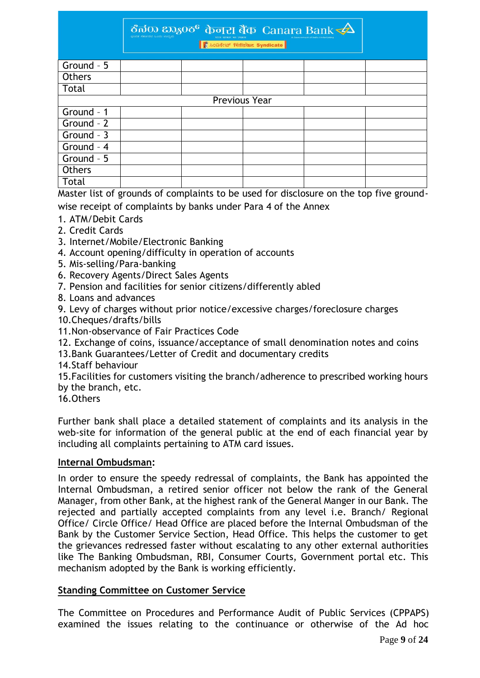ठैत $\overline{a}$ क  $\overline{a}$ क्रान्न बैंक Canara Bank $\overline{\bf 4}$ 

|              |               | <u>in the community of the community of the community of the community of the community of the community of the community of the community of the community of the community of the community of the community of the community </u> |  |
|--------------|---------------|--------------------------------------------------------------------------------------------------------------------------------------------------------------------------------------------------------------------------------------|--|
|              |               |                                                                                                                                                                                                                                      |  |
| Ground - 5   |               |                                                                                                                                                                                                                                      |  |
| Others       |               |                                                                                                                                                                                                                                      |  |
| Total        |               |                                                                                                                                                                                                                                      |  |
|              | Previous Year |                                                                                                                                                                                                                                      |  |
| Ground - 1   |               |                                                                                                                                                                                                                                      |  |
| Ground - 2   |               |                                                                                                                                                                                                                                      |  |
| Ground - $3$ |               |                                                                                                                                                                                                                                      |  |
| Ground - 4   |               |                                                                                                                                                                                                                                      |  |
| Ground - 5   |               |                                                                                                                                                                                                                                      |  |
| Others       |               |                                                                                                                                                                                                                                      |  |
| Total        |               |                                                                                                                                                                                                                                      |  |

Master list of grounds of complaints to be used for disclosure on the top five ground-

wise receipt of complaints by banks under Para 4 of the Annex

- 1. ATM/Debit Cards
- 2. Credit Cards
- 3. Internet/Mobile/Electronic Banking
- 4. Account opening/difficulty in operation of accounts
- 5. Mis-selling/Para-banking
- 6. Recovery Agents/Direct Sales Agents
- 7. Pension and facilities for senior citizens/differently abled
- 8. Loans and advances
- 9. Levy of charges without prior notice/excessive charges/foreclosure charges
- 10.Cheques/drafts/bills
- 11.Non-observance of Fair Practices Code
- 12. Exchange of coins, issuance/acceptance of small denomination notes and coins
- 13.Bank Guarantees/Letter of Credit and documentary credits
- 14.Staff behaviour

15.Facilities for customers visiting the branch/adherence to prescribed working hours by the branch, etc.

16.Others

Further bank shall place a detailed statement of complaints and its analysis in the web-site for information of the general public at the end of each financial year by including all complaints pertaining to ATM card issues.

#### **Internal Ombudsman:**

In order to ensure the speedy redressal of complaints, the Bank has appointed the Internal Ombudsman, a retired senior officer not below the rank of the General Manager, from other Bank, at the highest rank of the General Manger in our Bank. The rejected and partially accepted complaints from any level i.e. Branch/ Regional Office/ Circle Office/ Head Office are placed before the Internal Ombudsman of the Bank by the Customer Service Section, Head Office. This helps the customer to get the grievances redressed faster without escalating to any other external authorities like The Banking Ombudsman, RBI, Consumer Courts, Government portal etc. This mechanism adopted by the Bank is working efficiently.

#### **Standing Committee on Customer Service**

The Committee on Procedures and Performance Audit of Public Services (CPPAPS) examined the issues relating to the continuance or otherwise of the Ad hoc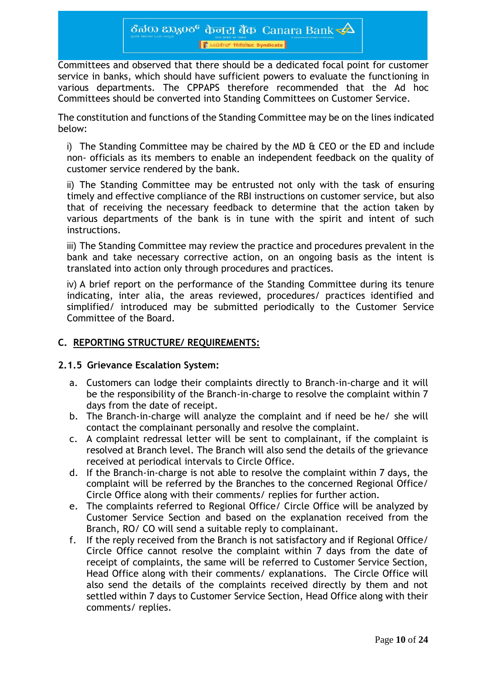Committees and observed that there should be a dedicated focal point for customer service in banks, which should have sufficient powers to evaluate the functioning in various departments. The CPPAPS therefore recommended that the Ad hoc Committees should be converted into Standing Committees on Customer Service.

The constitution and functions of the Standing Committee may be on the lines indicated below:

i) The Standing Committee may be chaired by the MD & CEO or the ED and include non- officials as its members to enable an independent feedback on the quality of customer service rendered by the bank.

ii) The Standing Committee may be entrusted not only with the task of ensuring timely and effective compliance of the RBI instructions on customer service, but also that of receiving the necessary feedback to determine that the action taken by various departments of the bank is in tune with the spirit and intent of such instructions.

iii) The Standing Committee may review the practice and procedures prevalent in the bank and take necessary corrective action, on an ongoing basis as the intent is translated into action only through procedures and practices.

iv) A brief report on the performance of the Standing Committee during its tenure indicating, inter alia, the areas reviewed, procedures/ practices identified and simplified/ introduced may be submitted periodically to the Customer Service Committee of the Board.

# **C. REPORTING STRUCTURE/ REQUIREMENTS:**

#### **2.1.5 Grievance Escalation System:**

- a. Customers can lodge their complaints directly to Branch-in-charge and it will be the responsibility of the Branch-in-charge to resolve the complaint within 7 days from the date of receipt.
- b. The Branch-in-charge will analyze the complaint and if need be he/ she will contact the complainant personally and resolve the complaint.
- c. A complaint redressal letter will be sent to complainant, if the complaint is resolved at Branch level. The Branch will also send the details of the grievance received at periodical intervals to Circle Office.
- d. If the Branch-in-charge is not able to resolve the complaint within 7 days, the complaint will be referred by the Branches to the concerned Regional Office/ Circle Office along with their comments/ replies for further action.
- e. The complaints referred to Regional Office/ Circle Office will be analyzed by Customer Service Section and based on the explanation received from the Branch, RO/ CO will send a suitable reply to complainant.
- f. If the reply received from the Branch is not satisfactory and if Regional Office/ Circle Office cannot resolve the complaint within 7 days from the date of receipt of complaints, the same will be referred to Customer Service Section, Head Office along with their comments/ explanations. The Circle Office will also send the details of the complaints received directly by them and not settled within 7 days to Customer Service Section, Head Office along with their comments/ replies.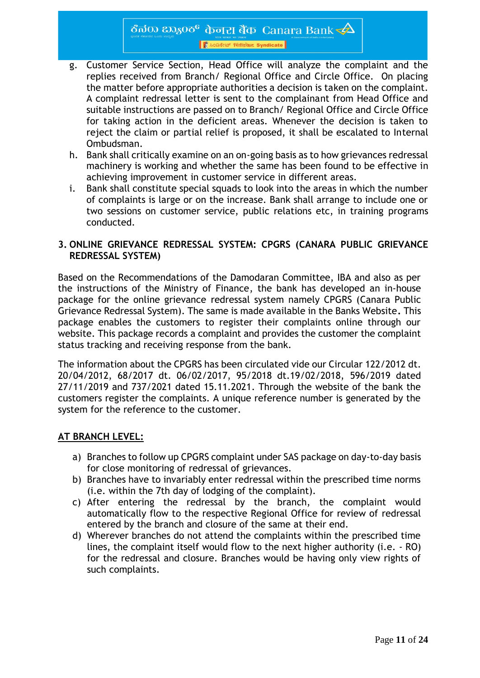- g. Customer Service Section, Head Office will analyze the complaint and the replies received from Branch/ Regional Office and Circle Office. On placing the matter before appropriate authorities a decision is taken on the complaint. A complaint redressal letter is sent to the complainant from Head Office and suitable instructions are passed on to Branch/ Regional Office and Circle Office for taking action in the deficient areas. Whenever the decision is taken to reject the claim or partial relief is proposed, it shall be escalated to Internal Ombudsman.
- h. Bank shall critically examine on an on-going basis as to how grievances redressal machinery is working and whether the same has been found to be effective in achieving improvement in customer service in different areas.
- i. Bank shall constitute special squads to look into the areas in which the number of complaints is large or on the increase. Bank shall arrange to include one or two sessions on customer service, public relations etc, in training programs conducted.

### **3. ONLINE GRIEVANCE REDRESSAL SYSTEM: CPGRS (CANARA PUBLIC GRIEVANCE REDRESSAL SYSTEM)**

Based on the Recommendations of the Damodaran Committee, IBA and also as per the instructions of the Ministry of Finance, the bank has developed an in-house package for the online grievance redressal system namely CPGRS (Canara Public Grievance Redressal System). The same is made available in the Banks Website**.** This package enables the customers to register their complaints online through our website. This package records a complaint and provides the customer the complaint status tracking and receiving response from the bank.

The information about the CPGRS has been circulated vide our Circular 122/2012 dt. 20/04/2012, 68/2017 dt. 06/02/2017, 95/2018 dt.19/02/2018, 596/2019 dated 27/11/2019 and 737/2021 dated 15.11.2021. Through the website of the bank the customers register the complaints. A unique reference number is generated by the system for the reference to the customer.

# **AT BRANCH LEVEL:**

- a) Branches to follow up CPGRS complaint under SAS package on day-to-day basis for close monitoring of redressal of grievances.
- b) Branches have to invariably enter redressal within the prescribed time norms (i.e. within the 7th day of lodging of the complaint).
- c) After entering the redressal by the branch, the complaint would automatically flow to the respective Regional Office for review of redressal entered by the branch and closure of the same at their end.
- d) Wherever branches do not attend the complaints within the prescribed time lines, the complaint itself would flow to the next higher authority (i.e. - RO) for the redressal and closure. Branches would be having only view rights of such complaints.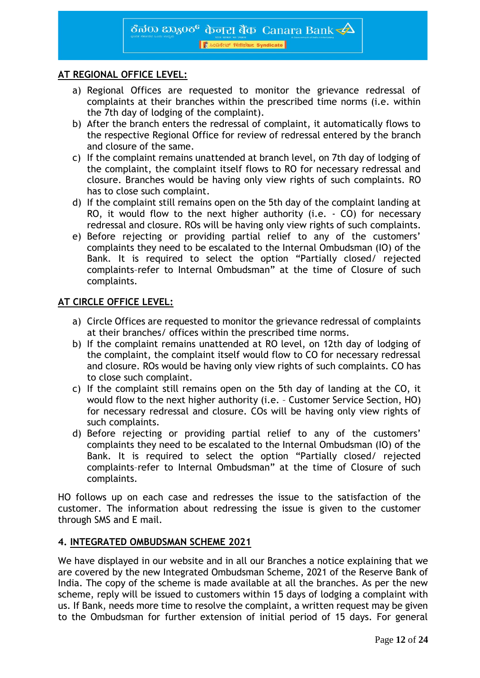#### **AT REGIONAL OFFICE LEVEL:**

- a) Regional Offices are requested to monitor the grievance redressal of complaints at their branches within the prescribed time norms (i.e. within the 7th day of lodging of the complaint).
- b) After the branch enters the redressal of complaint, it automatically flows to the respective Regional Office for review of redressal entered by the branch and closure of the same.
- c) If the complaint remains unattended at branch level, on 7th day of lodging of the complaint, the complaint itself flows to RO for necessary redressal and closure. Branches would be having only view rights of such complaints. RO has to close such complaint.
- d) If the complaint still remains open on the 5th day of the complaint landing at RO, it would flow to the next higher authority (i.e.  $-$  CO) for necessary redressal and closure. ROs will be having only view rights of such complaints.
- e) Before rejecting or providing partial relief to any of the customers' complaints they need to be escalated to the Internal Ombudsman (IO) of the Bank. It is required to select the option "Partially closed/ rejected complaints–refer to Internal Ombudsman" at the time of Closure of such complaints.

#### **AT CIRCLE OFFICE LEVEL:**

- a) Circle Offices are requested to monitor the grievance redressal of complaints at their branches/ offices within the prescribed time norms.
- b) If the complaint remains unattended at RO level, on 12th day of lodging of the complaint, the complaint itself would flow to CO for necessary redressal and closure. ROs would be having only view rights of such complaints. CO has to close such complaint.
- c) If the complaint still remains open on the 5th day of landing at the CO, it would flow to the next higher authority (i.e. – Customer Service Section, HO) for necessary redressal and closure. COs will be having only view rights of such complaints.
- d) Before rejecting or providing partial relief to any of the customers' complaints they need to be escalated to the Internal Ombudsman (IO) of the Bank. It is required to select the option "Partially closed/ rejected complaints–refer to Internal Ombudsman" at the time of Closure of such complaints.

HO follows up on each case and redresses the issue to the satisfaction of the customer. The information about redressing the issue is given to the customer through SMS and E mail.

#### **4. INTEGRATED OMBUDSMAN SCHEME 2021**

We have displayed in our website and in all our Branches a notice explaining that we are covered by the new Integrated Ombudsman Scheme, 2021 of the Reserve Bank of India. The copy of the scheme is made available at all the branches. As per the new scheme, reply will be issued to customers within 15 days of lodging a complaint with us. If Bank, needs more time to resolve the complaint, a written request may be given to the Ombudsman for further extension of initial period of 15 days. For general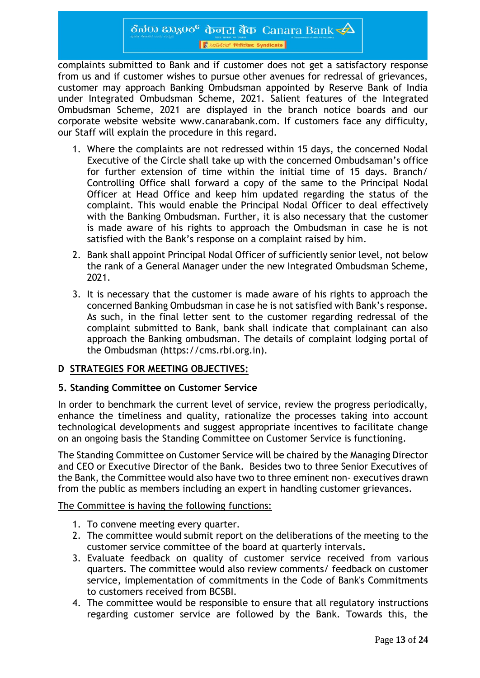ठैत $\overline{a}$ क  $\overline{a}$ क्रान्न बैंक Canara Bank $\overline{\bf 4}$ 

पासन सरकार का उपक्रम<br>| | हैं 2008र्टर अपनिश्चिकेट Syndicate |

complaints submitted to Bank and if customer does not get a satisfactory response from us and if customer wishes to pursue other avenues for redressal of grievances, customer may approach Banking Ombudsman appointed by Reserve Bank of India under Integrated Ombudsman Scheme, 2021. Salient features of the Integrated Ombudsman Scheme, 2021 are displayed in the branch notice boards and our corporate website website [www.canarabank.com.](http://www.canarabank.com/) If customers face any difficulty, our Staff will explain the procedure in this regard.

- 1. Where the complaints are not redressed within 15 days, the concerned Nodal Executive of the Circle shall take up with the concerned Ombudsaman's office for further extension of time within the initial time of 15 days. Branch/ Controlling Office shall forward a copy of the same to the Principal Nodal Officer at Head Office and keep him updated regarding the status of the complaint. This would enable the Principal Nodal Officer to deal effectively with the Banking Ombudsman. Further, it is also necessary that the customer is made aware of his rights to approach the Ombudsman in case he is not satisfied with the Bank's response on a complaint raised by him.
- 2. Bank shall appoint Principal Nodal Officer of sufficiently senior level, not below the rank of a General Manager under the new Integrated Ombudsman Scheme, 2021.
- 3. It is necessary that the customer is made aware of his rights to approach the concerned Banking Ombudsman in case he is not satisfied with Bank's response. As such, in the final letter sent to the customer regarding redressal of the complaint submitted to Bank, bank shall indicate that complainant can also approach the Banking ombudsman. The details of complaint lodging portal of the Ombudsman (https://cms.rbi.org.in).

#### **D STRATEGIES FOR MEETING OBJECTIVES:**

#### **5. Standing Committee on Customer Service**

In order to benchmark the current level of service, review the progress periodically, enhance the timeliness and quality, rationalize the processes taking into account technological developments and suggest appropriate incentives to facilitate change on an ongoing basis the Standing Committee on Customer Service is functioning.

The Standing Committee on Customer Service will be chaired by the Managing Director and CEO or Executive Director of the Bank. Besides two to three Senior Executives of the Bank, the Committee would also have two to three eminent non- executives drawn from the public as members including an expert in handling customer grievances.

#### The Committee is having the following functions:

- 1. To convene meeting every quarter.
- 2. The committee would submit report on the deliberations of the meeting to the customer service committee of the board at quarterly intervals**.**
- 3. Evaluate feedback on quality of customer service received from various quarters. The committee would also review comments/ feedback on customer service, implementation of commitments in the Code of Bank's Commitments to customers received from BCSBI.
- 4. The committee would be responsible to ensure that all regulatory instructions regarding customer service are followed by the Bank. Towards this, the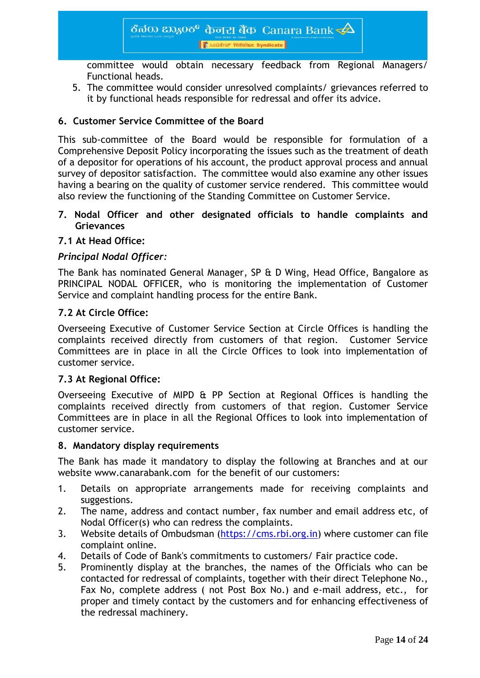committee would obtain necessary feedback from Regional Managers/ Functional heads.

5. The committee would consider unresolved complaints/ grievances referred to it by functional heads responsible for redressal and offer its advice.

# **6. Customer Service Committee of the Board**

This sub-committee of the Board would be responsible for formulation of a Comprehensive Deposit Policy incorporating the issues such as the treatment of death of a depositor for operations of his account, the product approval process and annual survey of depositor satisfaction. The committee would also examine any other issues having a bearing on the quality of customer service rendered. This committee would also review the functioning of the Standing Committee on Customer Service.

### **7. Nodal Officer and other designated officials to handle complaints and Grievances**

### **7.1 At Head Office:**

### *Principal Nodal Officer:*

The Bank has nominated General Manager, SP & D Wing, Head Office, Bangalore as PRINCIPAL NODAL OFFICER, who is monitoring the implementation of Customer Service and complaint handling process for the entire Bank.

#### **7.2 At Circle Office:**

Overseeing Executive of Customer Service Section at Circle Offices is handling the complaints received directly from customers of that region. Customer Service Committees are in place in all the Circle Offices to look into implementation of customer service.

#### **7.3 At Regional Office:**

Overseeing Executive of MIPD & PP Section at Regional Offices is handling the complaints received directly from customers of that region. Customer Service Committees are in place in all the Regional Offices to look into implementation of customer service.

#### **8. Mandatory display requirements**

The Bank has made it mandatory to display the following at Branches and at our website [www.canarabank.com](http://www.canarabank.com/) for the benefit of our customers:

- 1. Details on appropriate arrangements made for receiving complaints and suggestions.
- 2. The name, address and contact number, fax number and email address etc, of Nodal Officer(s) who can redress the complaints.
- 3. Website details of Ombudsman [\(https://cms.rbi.org.in\)](https://cms.rbi.org.in/) where customer can file complaint online.
- 4. Details of Code of Bank's commitments to customers/ Fair practice code.
- 5. Prominently display at the branches, the names of the Officials who can be contacted for redressal of complaints, together with their direct Telephone No., Fax No, complete address ( not Post Box No.) and e-mail address, etc., for proper and timely contact by the customers and for enhancing effectiveness of the redressal machinery.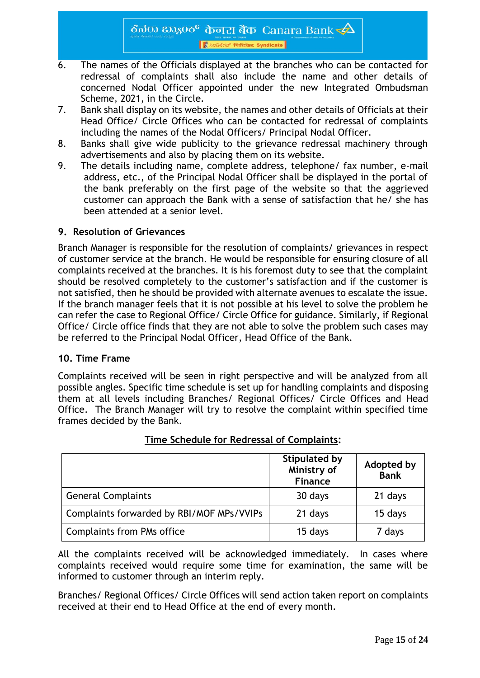- 6. The names of the Officials displayed at the branches who can be contacted for redressal of complaints shall also include the name and other details of concerned Nodal Officer appointed under the new Integrated Ombudsman Scheme, 2021, in the Circle.
- 7. Bank shall display on its website, the names and other details of Officials at their Head Office/ Circle Offices who can be contacted for redressal of complaints including the names of the Nodal Officers/ Principal Nodal Officer.
- 8. Banks shall give wide publicity to the grievance redressal machinery through advertisements and also by placing them on its website.
- 9. The details including name, complete address, telephone/ fax number, e-mail address, etc., of the Principal Nodal Officer shall be displayed in the portal of the bank preferably on the first page of the website so that the aggrieved customer can approach the Bank with a sense of satisfaction that he/ she has been attended at a senior level.

#### **9. Resolution of Grievances**

Branch Manager is responsible for the resolution of complaints/ grievances in respect of customer service at the branch. He would be responsible for ensuring closure of all complaints received at the branches. It is his foremost duty to see that the complaint should be resolved completely to the customer's satisfaction and if the customer is not satisfied, then he should be provided with alternate avenues to escalate the issue. If the branch manager feels that it is not possible at his level to solve the problem he can refer the case to Regional Office/ Circle Office for guidance. Similarly, if Regional Office/ Circle office finds that they are not able to solve the problem such cases may be referred to the Principal Nodal Officer, Head Office of the Bank.

#### **10. Time Frame**

Complaints received will be seen in right perspective and will be analyzed from all possible angles. Specific time schedule is set up for handling complaints and disposing them at all levels including Branches/ Regional Offices/ Circle Offices and Head Office. The Branch Manager will try to resolve the complaint within specified time frames decided by the Bank.

|                                           | <b>Stipulated by</b><br>Ministry of<br>Finance | Adopted by<br>Bank |
|-------------------------------------------|------------------------------------------------|--------------------|
| <b>General Complaints</b>                 | 30 days                                        | 21 days            |
| Complaints forwarded by RBI/MOF MPs/VVIPs | 21 days                                        | 15 days            |
| <b>Complaints from PMs office</b>         | 15 days                                        | 7 days             |

# **Time Schedule for Redressal of Complaints:**

All the complaints received will be acknowledged immediately. In cases where complaints received would require some time for examination, the same will be informed to customer through an interim reply.

Branches/ Regional Offices/ Circle Offices will send action taken report on complaints received at their end to Head Office at the end of every month.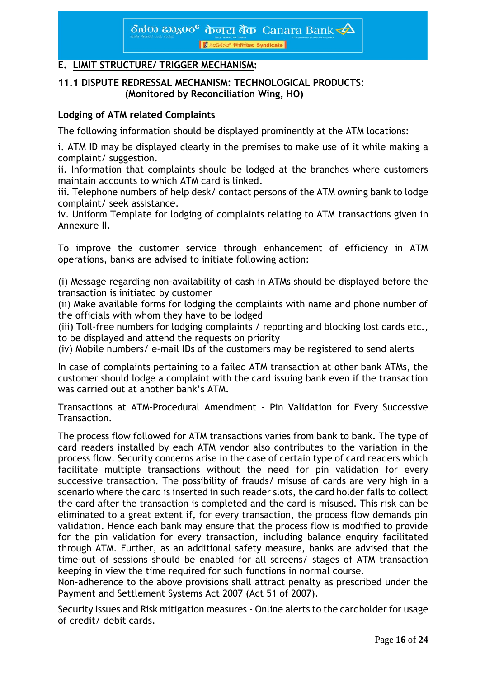# **E. LIMIT STRUCTURE/ TRIGGER MECHANISM:**

#### **11.1 DISPUTE REDRESSAL MECHANISM: TECHNOLOGICAL PRODUCTS: (Monitored by Reconciliation Wing, HO)**

#### **Lodging of ATM related Complaints**

The following information should be displayed prominently at the ATM locations:

i. ATM ID may be displayed clearly in the premises to make use of it while making a complaint/ suggestion.

ii. Information that complaints should be lodged at the branches where customers maintain accounts to which ATM card is linked.

iii. Telephone numbers of help desk/ contact persons of the ATM owning bank to lodge complaint/ seek assistance.

iv. Uniform Template for lodging of complaints relating to ATM transactions given in Annexure II.

To improve the customer service through enhancement of efficiency in ATM operations, banks are advised to initiate following action:

(i) Message regarding non-availability of cash in ATMs should be displayed before the transaction is initiated by customer

(ii) Make available forms for lodging the complaints with name and phone number of the officials with whom they have to be lodged

(iii) Toll-free numbers for lodging complaints / reporting and blocking lost cards etc., to be displayed and attend the requests on priority

(iv) Mobile numbers/ e-mail IDs of the customers may be registered to send alerts

In case of complaints pertaining to a failed ATM transaction at other bank ATMs, the customer should lodge a complaint with the card issuing bank even if the transaction was carried out at another bank's ATM.

Transactions at ATM-Procedural Amendment - Pin Validation for Every Successive Transaction.

The process flow followed for ATM transactions varies from bank to bank. The type of card readers installed by each ATM vendor also contributes to the variation in the process flow. Security concerns arise in the case of certain type of card readers which facilitate multiple transactions without the need for pin validation for every successive transaction. The possibility of frauds/ misuse of cards are very high in a scenario where the card is inserted in such reader slots, the card holder fails to collect the card after the transaction is completed and the card is misused. This risk can be eliminated to a great extent if, for every transaction, the process flow demands pin validation. Hence each bank may ensure that the process flow is modified to provide for the pin validation for every transaction, including balance enquiry facilitated through ATM. Further, as an additional safety measure, banks are advised that the time-out of sessions should be enabled for all screens/ stages of ATM transaction keeping in view the time required for such functions in normal course.

Non-adherence to the above provisions shall attract penalty as prescribed under the Payment and Settlement Systems Act 2007 (Act 51 of 2007).

Security Issues and Risk mitigation measures - Online alerts to the cardholder for usage of credit/ debit cards.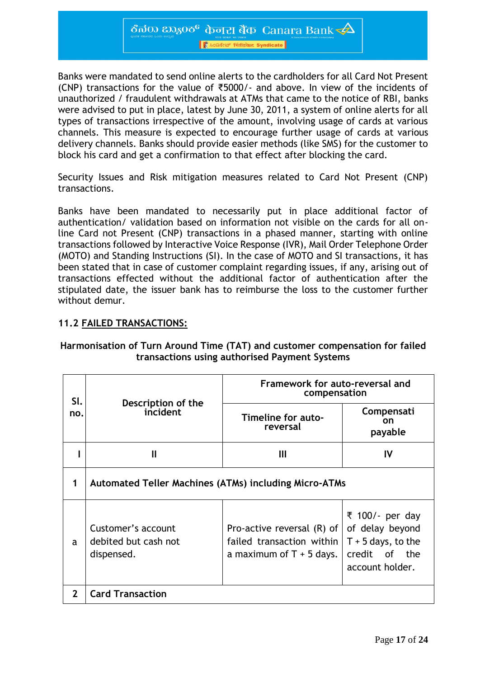ठैत $\infty$   $\infty$ ु $\infty$  केनरा बैंक Canara Bank  $\prec\!\!\Delta$ Access Trend Syndicate

Banks were mandated to send online alerts to the cardholders for all Card Not Present (CNP) transactions for the value of ₹5000/- and above. In view of the incidents of unauthorized / fraudulent withdrawals at ATMs that came to the notice of RBI, banks were advised to put in place, latest by June 30, 2011, a system of online alerts for all types of transactions irrespective of the amount, involving usage of cards at various channels. This measure is expected to encourage further usage of cards at various delivery channels. Banks should provide easier methods (like SMS) for the customer to block his card and get a confirmation to that effect after blocking the card.

Security Issues and Risk mitigation measures related to Card Not Present (CNP) transactions.

Banks have been mandated to necessarily put in place additional factor of authentication/ validation based on information not visible on the cards for all online Card not Present (CNP) transactions in a phased manner, starting with online transactions followed by Interactive Voice Response (IVR), Mail Order Telephone Order (MOTO) and Standing Instructions (SI). In the case of MOTO and SI transactions, it has been stated that in case of customer complaint regarding issues, if any, arising out of transactions effected without the additional factor of authentication after the stipulated date, the issuer bank has to reimburse the loss to the customer further without demur.

#### **11.2 FAILED TRANSACTIONS:**

| SI.          |                                                              | Framework for auto-reversal and<br>compensation                                             |                                                                                                |  |
|--------------|--------------------------------------------------------------|---------------------------------------------------------------------------------------------|------------------------------------------------------------------------------------------------|--|
| no.          | Description of the<br>incident                               | Timeline for auto-<br>reversal                                                              | Compensati<br><b>on</b><br>payable                                                             |  |
|              | Ш                                                            | Ш                                                                                           | IV                                                                                             |  |
| 1            | <b>Automated Teller Machines (ATMs) including Micro-ATMs</b> |                                                                                             |                                                                                                |  |
| a            | Customer's account<br>debited but cash not<br>dispensed.     | Pro-active reversal $(R)$ of $ $<br>failed transaction within<br>a maximum of $T + 5$ days. | ₹ 100/- per day<br>of delay beyond<br>$T + 5$ days, to the<br>credit of the<br>account holder. |  |
| $\mathbf{2}$ | <b>Card Transaction</b>                                      |                                                                                             |                                                                                                |  |

#### **Harmonisation of Turn Around Time (TAT) and customer compensation for failed transactions using authorised Payment Systems**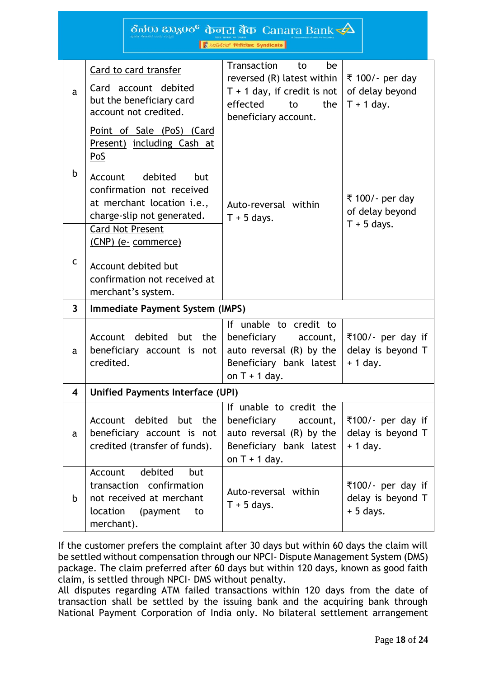|                         |                                                                                                                                                                                      | ಕೆನರು ಬ್ಯಾಂಕ್ केनरा बैंक Canara Bank $\not\blacktriangle$                                                                               |                                                      |
|-------------------------|--------------------------------------------------------------------------------------------------------------------------------------------------------------------------------------|-----------------------------------------------------------------------------------------------------------------------------------------|------------------------------------------------------|
|                         |                                                                                                                                                                                      | ● 2028 सिडिकेट Syndicate                                                                                                                |                                                      |
| a                       | Card to card transfer<br>Card account debited<br>but the beneficiary card<br>account not credited.                                                                                   | Transaction<br>be<br>to<br>reversed (R) latest within<br>$T + 1$ day, if credit is not<br>effected<br>to<br>the<br>beneficiary account. | ₹ 100/- per day<br>of delay beyond<br>$T + 1$ day.   |
| b                       | Point of Sale (PoS) (Card<br>Present) including Cash at<br>PoS<br>debited<br>Account<br>but<br>confirmation not received<br>at merchant location i.e.,<br>charge-slip not generated. | Auto-reversal within<br>$T + 5$ days.                                                                                                   | ₹ 100/- per day<br>of delay beyond<br>$T + 5$ days.  |
| $\mathsf{C}$            | <b>Card Not Present</b><br>(CNP) (e- commerce)<br>Account debited but<br>confirmation not received at<br>merchant's system.                                                          |                                                                                                                                         |                                                      |
| $\mathbf{3}$            | <b>Immediate Payment System (IMPS)</b>                                                                                                                                               |                                                                                                                                         |                                                      |
| a                       | debited but<br>the<br>Account<br>beneficiary account is<br>not<br>credited.                                                                                                          | If unable to credit to<br>beneficiary<br>account,<br>auto reversal $(R)$ by the<br>Beneficiary bank latest<br>on $T + 1$ day.           | ₹100/- per day if<br>delay is beyond T<br>$+ 1$ day. |
| $\overline{\mathbf{4}}$ | <b>Unified Payments Interface (UPI)</b>                                                                                                                                              |                                                                                                                                         |                                                      |
| a                       | Account debited but the<br>beneficiary account is not<br>credited (transfer of funds).                                                                                               | If unable to credit the<br>beneficiary<br>account,<br>auto reversal $(R)$ by the<br>Beneficiary bank latest<br>on $T + 1$ day.          | ₹100/- per day if<br>delay is beyond T<br>$+1$ day.  |
| b                       | debited<br>Account<br>but<br>transaction confirmation<br>not received at merchant<br>location<br>(payment<br>to<br>merchant).                                                        | Auto-reversal within<br>$T + 5$ days.                                                                                                   | ₹100/- per day if<br>delay is beyond T<br>$+5$ days. |

If the customer prefers the complaint after 30 days but within 60 days the claim will be settled without compensation through our NPCI- Dispute Management System (DMS) package. The claim preferred after 60 days but within 120 days, known as good faith claim, is settled through NPCI- DMS without penalty.

All disputes regarding ATM failed transactions within 120 days from the date of transaction shall be settled by the issuing bank and the acquiring bank through National Payment Corporation of India only. No bilateral settlement arrangement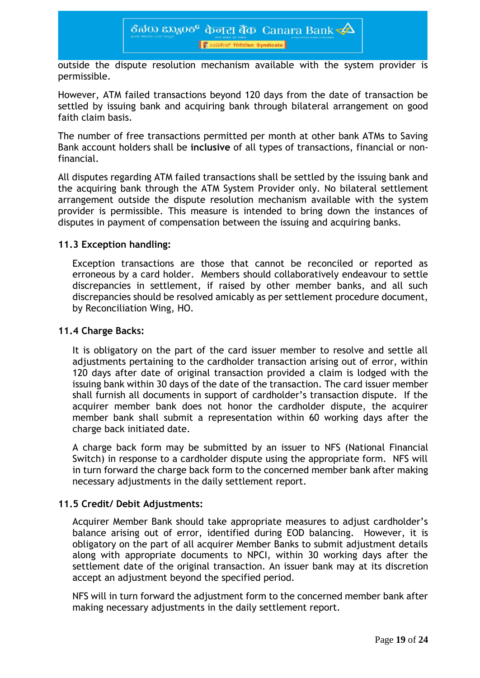outside the dispute resolution mechanism available with the system provider is permissible.

However, ATM failed transactions beyond 120 days from the date of transaction be settled by issuing bank and acquiring bank through bilateral arrangement on good faith claim basis.

The number of free transactions permitted per month at other bank ATMs to Saving Bank account holders shall be **inclusive** of all types of transactions, financial or nonfinancial.

All disputes regarding ATM failed transactions shall be settled by the issuing bank and the acquiring bank through the ATM System Provider only. No bilateral settlement arrangement outside the dispute resolution mechanism available with the system provider is permissible. This measure is intended to bring down the instances of disputes in payment of compensation between the issuing and acquiring banks.

#### **11.3 Exception handling:**

Exception transactions are those that cannot be reconciled or reported as erroneous by a card holder. Members should collaboratively endeavour to settle discrepancies in settlement, if raised by other member banks, and all such discrepancies should be resolved amicably as per settlement procedure document, by Reconciliation Wing, HO.

#### **11.4 Charge Backs:**

It is obligatory on the part of the card issuer member to resolve and settle all adjustments pertaining to the cardholder transaction arising out of error, within 120 days after date of original transaction provided a claim is lodged with the issuing bank within 30 days of the date of the transaction. The card issuer member shall furnish all documents in support of cardholder's transaction dispute. If the acquirer member bank does not honor the cardholder dispute, the acquirer member bank shall submit a representation within 60 working days after the charge back initiated date.

A charge back form may be submitted by an issuer to NFS (National Financial Switch) in response to a cardholder dispute using the appropriate form. NFS will in turn forward the charge back form to the concerned member bank after making necessary adjustments in the daily settlement report.

#### **11.5 Credit/ Debit Adjustments:**

Acquirer Member Bank should take appropriate measures to adjust cardholder's balance arising out of error, identified during EOD balancing. However, it is obligatory on the part of all acquirer Member Banks to submit adjustment details along with appropriate documents to NPCI, within 30 working days after the settlement date of the original transaction. An issuer bank may at its discretion accept an adjustment beyond the specified period.

NFS will in turn forward the adjustment form to the concerned member bank after making necessary adjustments in the daily settlement report.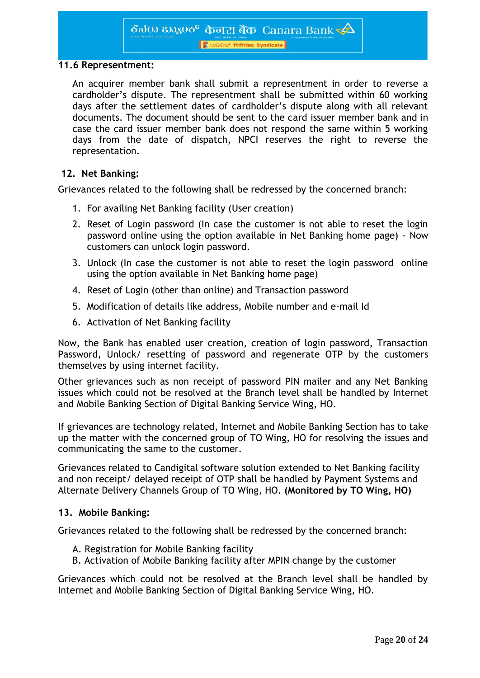।<br>| है 2028 स्थितिकेट Syndicate

#### **11.6 Representment:**

An acquirer member bank shall submit a representment in order to reverse a cardholder's dispute. The representment shall be submitted within 60 working days after the settlement dates of cardholder's dispute along with all relevant documents. The document should be sent to the card issuer member bank and in case the card issuer member bank does not respond the same within 5 working days from the date of dispatch, NPCI reserves the right to reverse the representation.

#### **12. Net Banking:**

Grievances related to the following shall be redressed by the concerned branch:

- 1. For availing Net Banking facility (User creation)
- 2. Reset of Login password (In case the customer is not able to reset the login password online using the option available in Net Banking home page) - Now customers can unlock login password.
- 3. Unlock (In case the customer is not able to reset the login password online using the option available in Net Banking home page)
- 4. Reset of Login (other than online) and Transaction password
- 5. Modification of details like address, Mobile number and e-mail Id
- 6. Activation of Net Banking facility

Now, the Bank has enabled user creation, creation of login password, Transaction Password, Unlock/ resetting of password and regenerate OTP by the customers themselves by using internet facility.

Other grievances such as non receipt of password PIN mailer and any Net Banking issues which could not be resolved at the Branch level shall be handled by Internet and Mobile Banking Section of Digital Banking Service Wing, HO.

If grievances are technology related, Internet and Mobile Banking Section has to take up the matter with the concerned group of TO Wing, HO for resolving the issues and communicating the same to the customer.

Grievances related to Candigital software solution extended to Net Banking facility and non receipt/ delayed receipt of OTP shall be handled by Payment Systems and Alternate Delivery Channels Group of TO Wing, HO. **(Monitored by TO Wing, HO)**

#### **13. Mobile Banking:**

Grievances related to the following shall be redressed by the concerned branch:

- A. Registration for Mobile Banking facility
- B. Activation of Mobile Banking facility after MPIN change by the customer

Grievances which could not be resolved at the Branch level shall be handled by Internet and Mobile Banking Section of Digital Banking Service Wing, HO.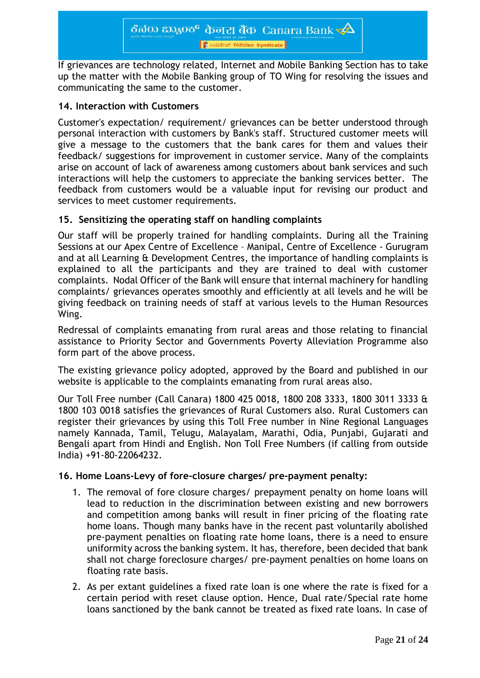If grievances are technology related, Internet and Mobile Banking Section has to take up the matter with the Mobile Banking group of TO Wing for resolving the issues and communicating the same to the customer.

# **14. Interaction with Customers**

Customer's expectation/ requirement/ grievances can be better understood through personal interaction with customers by Bank's staff. Structured customer meets will give a message to the customers that the bank cares for them and values their feedback/ suggestions for improvement in customer service. Many of the complaints arise on account of lack of awareness among customers about bank services and such interactions will help the customers to appreciate the banking services better. The feedback from customers would be a valuable input for revising our product and services to meet customer requirements.

# **15. Sensitizing the operating staff on handling complaints**

Our staff will be properly trained for handling complaints. During all the Training Sessions at our Apex Centre of Excellence – Manipal, Centre of Excellence - Gurugram and at all Learning & Development Centres, the importance of handling complaints is explained to all the participants and they are trained to deal with customer complaints. Nodal Officer of the Bank will ensure that internal machinery for handling complaints/ grievances operates smoothly and efficiently at all levels and he will be giving feedback on training needs of staff at various levels to the Human Resources Wing.

Redressal of complaints emanating from rural areas and those relating to financial assistance to Priority Sector and Governments Poverty Alleviation Programme also form part of the above process.

The existing grievance policy adopted, approved by the Board and published in our website is applicable to the complaints emanating from rural areas also.

Our Toll Free number (Call Canara) 1800 425 0018, 1800 208 3333, 1800 3011 3333 & 1800 103 0018 satisfies the grievances of Rural Customers also. Rural Customers can register their grievances by using this Toll Free number in Nine Regional Languages namely Kannada, Tamil, Telugu, Malayalam, Marathi, Odia, Punjabi, Gujarati and Bengali apart from Hindi and English. Non Toll Free Numbers (if calling from outside India) +91-80-22064232.

#### **16. Home Loans-Levy of fore-closure charges/ pre-payment penalty:**

- 1. The removal of fore closure charges/ prepayment penalty on home loans will lead to reduction in the discrimination between existing and new borrowers and competition among banks will result in finer pricing of the floating rate home loans. Though many banks have in the recent past voluntarily abolished pre-payment penalties on floating rate home loans, there is a need to ensure uniformity across the banking system. It has, therefore, been decided that bank shall not charge foreclosure charges/ pre-payment penalties on home loans on floating rate basis.
- 2. As per extant guidelines a fixed rate loan is one where the rate is fixed for a certain period with reset clause option. Hence, Dual rate/Special rate home loans sanctioned by the bank cannot be treated as fixed rate loans. In case of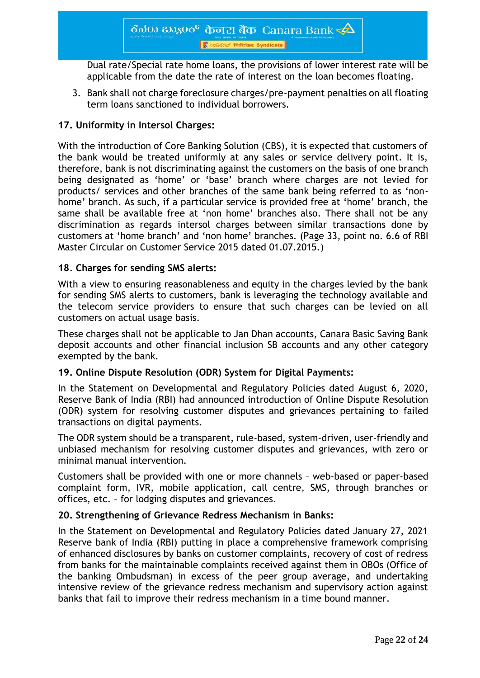Dual rate/Special rate home loans, the provisions of lower interest rate will be applicable from the date the rate of interest on the loan becomes floating.

3. Bank shall not charge foreclosure charges/pre-payment penalties on all floating term loans sanctioned to individual borrowers.

# **17. Uniformity in Intersol Charges:**

With the introduction of Core Banking Solution (CBS), it is expected that customers of the bank would be treated uniformly at any sales or service delivery point. It is, therefore, bank is not discriminating against the customers on the basis of one branch being designated as 'home' or 'base' branch where charges are not levied for products/ services and other branches of the same bank being referred to as 'nonhome' branch. As such, if a particular service is provided free at 'home' branch, the same shall be available free at 'non home' branches also. There shall not be any discrimination as regards intersol charges between similar transactions done by customers at 'home branch' and 'non home' branches. (Page 33, point no. 6.6 of RBI Master Circular on Customer Service 2015 dated 01.07.2015.)

# **18**. **Charges for sending SMS alerts:**

With a view to ensuring reasonableness and equity in the charges levied by the bank for sending SMS alerts to customers, bank is leveraging the technology available and the telecom service providers to ensure that such charges can be levied on all customers on actual usage basis.

These charges shall not be applicable to Jan Dhan accounts, Canara Basic Saving Bank deposit accounts and other financial inclusion SB accounts and any other category exempted by the bank.

#### **19. Online Dispute Resolution (ODR) System for Digital Payments:**

In the Statement on Developmental and Regulatory Policies dated August 6, 2020, Reserve Bank of India (RBI) had announced introduction of Online Dispute Resolution (ODR) system for resolving customer disputes and grievances pertaining to failed transactions on digital payments.

The ODR system should be a transparent, rule-based, system-driven, user-friendly and unbiased mechanism for resolving customer disputes and grievances, with zero or minimal manual intervention.

Customers shall be provided with one or more channels – web-based or paper-based complaint form, IVR, mobile application, call centre, SMS, through branches or offices, etc. – for lodging disputes and grievances.

#### **20. Strengthening of Grievance Redress Mechanism in Banks:**

In the Statement on Developmental and Regulatory Policies dated January 27, 2021 Reserve bank of India (RBI) putting in place a comprehensive framework comprising of enhanced disclosures by banks on customer complaints, recovery of cost of redress from banks for the maintainable complaints received against them in OBOs (Office of the banking Ombudsman) in excess of the peer group average, and undertaking intensive review of the grievance redress mechanism and supervisory action against banks that fail to improve their redress mechanism in a time bound manner.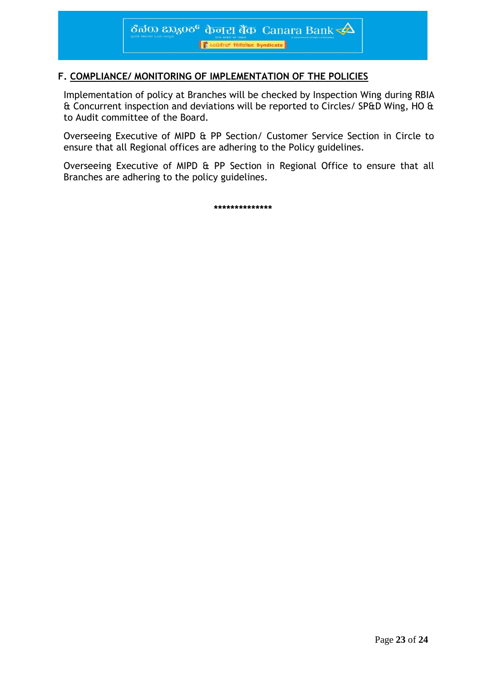# **F. COMPLIANCE/ MONITORING OF IMPLEMENTATION OF THE POLICIES**

Implementation of policy at Branches will be checked by Inspection Wing during RBIA & Concurrent inspection and deviations will be reported to Circles/ SP&D Wing, HO & to Audit committee of the Board.

Overseeing Executive of MIPD & PP Section/ Customer Service Section in Circle to ensure that all Regional offices are adhering to the Policy guidelines.

Overseeing Executive of MIPD & PP Section in Regional Office to ensure that all Branches are adhering to the policy guidelines.

**\*\*\*\*\*\*\*\*\*\*\*\*\*\***